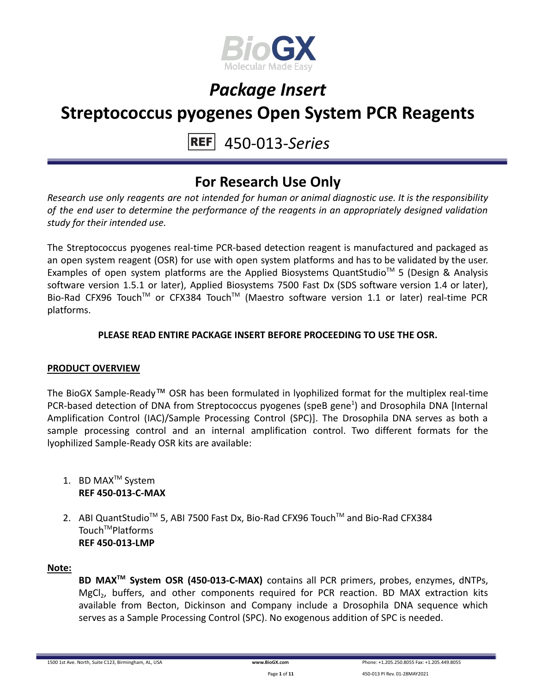

### **Streptococcus pyogenes Open System PCR Reagents**

#### 450-013-*Series* **REF**

### **For Research Use Only**

*Research use only reagents are not intended for human or animal diagnostic use. It is the responsibility of the end user to determine the performance of the reagents in an appropriately designed validation study for their intended use.*

The Streptococcus pyogenes real-time PCR-based detection reagent is manufactured and packaged as an open system reagent (OSR) for use with open system platforms and has to be validated by the user. Examples of open system platforms are the Applied Biosystems QuantStudio™ 5 (Design & Analysis software version 1.5.1 or later), Applied Biosystems 7500 Fast Dx (SDS software version 1.4 or later), Bio-Rad CFX96 Touch™ or CFX384 Touch™ (Maestro software version 1.1 or later) real-time PCR platforms.

### **PLEASE READ ENTIRE PACKAGE INSERT BEFORE PROCEEDING TO USE THE OSR.**

### **PRODUCT OVERVIEW**

The BioGX Sample-Ready™ OSR has been formulated in lyophilized format for the multiplex real-time PCR-based detection of DNA from Streptococcus pyogenes (speB gene<sup>1</sup>) and Drosophila DNA [Internal Amplification Control (IAC)/Sample Processing Control (SPC)]. The Drosophila DNA serves as both a sample processing control and an internal amplification control. Two different formats for the lyophilized Sample-Ready OSR kits are available:

- 1. BD MAX<sup>™</sup> System **REF 450-013-C-MAX**
- 2. ABI QuantStudio<sup>™</sup> 5, ABI 7500 Fast Dx, Bio-Rad CFX96 Touch™ and Bio-Rad CFX384 Touch<sup>™</sup>Platforms **REF 450-013-LMP**

### **Note:**

**BD MAXTM System OSR (450-013-C-MAX)** contains all PCR primers, probes, enzymes, dNTPs, MgCl<sub>2</sub>, buffers, and other components required for PCR reaction. BD MAX extraction kits available from Becton, Dickinson and Company include a Drosophila DNA sequence which serves as a Sample Processing Control (SPC). No exogenous addition of SPC is needed.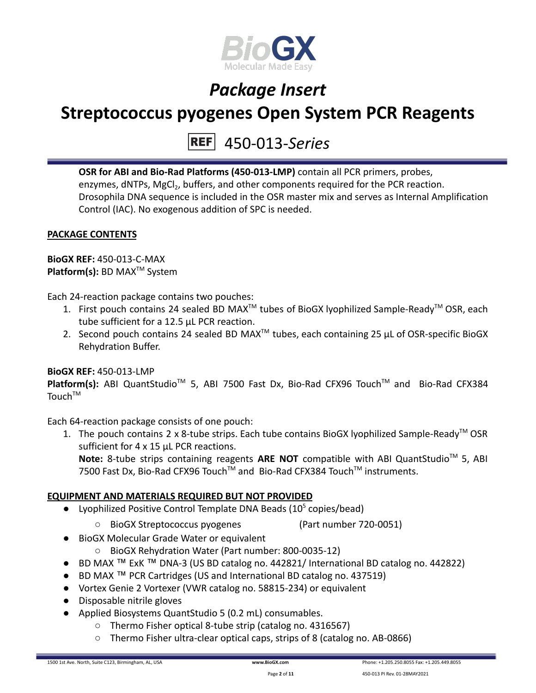

### **Streptococcus pyogenes Open System PCR Reagents**

450-013-*Series*

**OSR for ABI and Bio-Rad Platforms (450-013-LMP)** contain all PCR primers, probes, enzymes, dNTPs, MgCl<sub>2</sub>, buffers, and other components required for the PCR reaction. Drosophila DNA sequence is included in the OSR master mix and serves as Internal Amplification Control (IAC). No exogenous addition of SPC is needed.

### **PACKAGE CONTENTS**

**BioGX REF:** 450-013-C-MAX **Platform(s):** BD MAX<sup>™</sup> System

Each 24-reaction package contains two pouches:

- 1. First pouch contains 24 sealed BD MAX<sup>™</sup> tubes of BioGX lyophilized Sample-Ready<sup>™</sup> OSR, each tube sufficient for a 12.5 µL PCR reaction.
- 2. Second pouch contains 24 sealed BD MAX<sup>™</sup> tubes, each containing 25  $\mu$ L of OSR-specific BioGX Rehydration Buffer.

### **BioGX REF:** 450-013-LMP

Platform(s): ABI QuantStudio<sup>™</sup> 5, ABI 7500 Fast Dx, Bio-Rad CFX96 Touch<sup>™</sup> and Bio-Rad CFX384  $T$ ouch $T$ <sup>M</sup>

Each 64-reaction package consists of one pouch:

1. The pouch contains 2 x 8-tube strips. Each tube contains BioGX lyophilized Sample-Ready<sup>™</sup> OSR sufficient for 4 x 15 µL PCR reactions.

Note: 8-tube strips containing reagents ARE NOT compatible with ABI QuantStudio<sup>™</sup> 5, ABI 7500 Fast Dx, Bio-Rad CFX96 Touch™ and Bio-Rad CFX384 Touch™ instruments.

### **EQUIPMENT AND MATERIALS REQUIRED BUT NOT PROVIDED**

- Lyophilized Positive Control Template DNA Beads  $(10^5 \text{ copies/head})$ 
	- BioGX Streptococcus pyogenes (Part number 720-0051)
- BioGX Molecular Grade Water or equivalent
	- BioGX Rehydration Water (Part number: 800-0035-12)
- BD MAX ™ ExK ™ DNA-3 (US BD catalog no. 442821/ International BD catalog no. 442822)
- BD MAX ™ PCR Cartridges (US and International BD catalog no. 437519)
- Vortex Genie 2 Vortexer (VWR catalog no. 58815-234) or equivalent
- Disposable nitrile gloves
- Applied Biosystems QuantStudio 5 (0.2 mL) consumables.
	- Thermo Fisher optical 8-tube strip (catalog no. 4316567)
	- Thermo Fisher ultra-clear optical caps, strips of 8 (catalog no. AB-0866)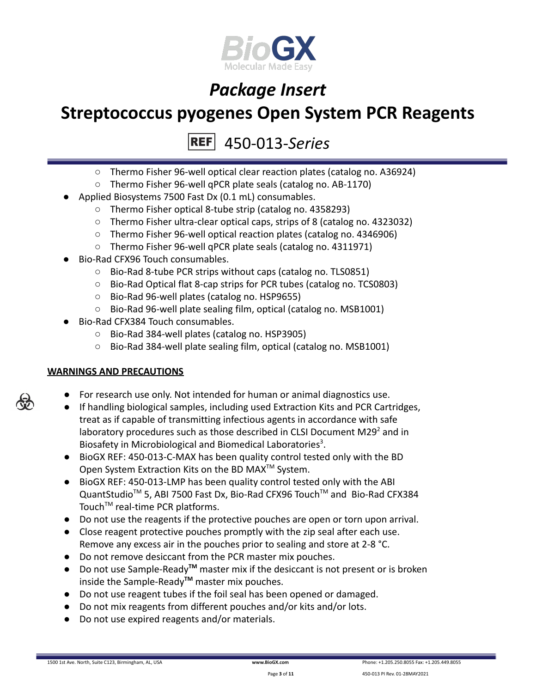

### **Streptococcus pyogenes Open System PCR Reagents**

450-013-*Series* **REF** 

- Thermo Fisher 96-well optical clear reaction plates (catalog no. A36924)
- Thermo Fisher 96-well qPCR plate seals (catalog no. AB-1170)
- Applied Biosystems 7500 Fast Dx (0.1 mL) consumables.
	- Thermo Fisher optical 8-tube strip (catalog no. 4358293)
	- Thermo Fisher ultra-clear optical caps, strips of 8 (catalog no. 4323032)
	- Thermo Fisher 96-well optical reaction plates (catalog no. 4346906)
	- Thermo Fisher 96-well qPCR plate seals (catalog no. 4311971)
- Bio-Rad CFX96 Touch consumables.
	- Bio-Rad 8-tube PCR strips without caps (catalog no. TLS0851)
	- Bio-Rad Optical flat 8-cap strips for PCR tubes (catalog no. TCS0803)
	- Bio-Rad 96-well plates (catalog no. HSP9655)
	- Bio-Rad 96-well plate sealing film, optical (catalog no. MSB1001)
- Bio-Rad CFX384 Touch consumables.
	- Bio-Rad 384-well plates (catalog no. HSP3905)
	- Bio-Rad 384-well plate sealing film, optical (catalog no. MSB1001)

### **WARNINGS AND PRECAUTIONS**

- For research use only. Not intended for human or animal diagnostics use.
- If handling biological samples, including used Extraction Kits and PCR Cartridges, treat as if capable of transmitting infectious agents in accordance with safe laboratory procedures such as those described in CLSI Document M29 $2$  and in Biosafety in Microbiological and Biomedical Laboratories<sup>3</sup>.
- BioGX REF: 450-013-C-MAX has been quality control tested only with the BD Open System Extraction Kits on the BD MAX<sup>™</sup> System.
- BioGX REF: 450-013-LMP has been quality control tested only with the ABI QuantStudio<sup>™</sup> 5, ABI 7500 Fast Dx, Bio-Rad CFX96 Touch™ and Bio-Rad CFX384 Touch<sup>™</sup> real-time PCR platforms.
- Do not use the reagents if the protective pouches are open or torn upon arrival.
- Close reagent protective pouches promptly with the zip seal after each use. Remove any excess air in the pouches prior to sealing and store at 2-8 °C.
- Do not remove desiccant from the PCR master mix pouches.
- Do not use Sample-Ready**TM** master mix if the desiccant is not present or is broken inside the Sample-Ready**TM** master mix pouches.
- Do not use reagent tubes if the foil seal has been opened or damaged.
- Do not mix reagents from different pouches and/or kits and/or lots.
- Do not use expired reagents and/or materials.

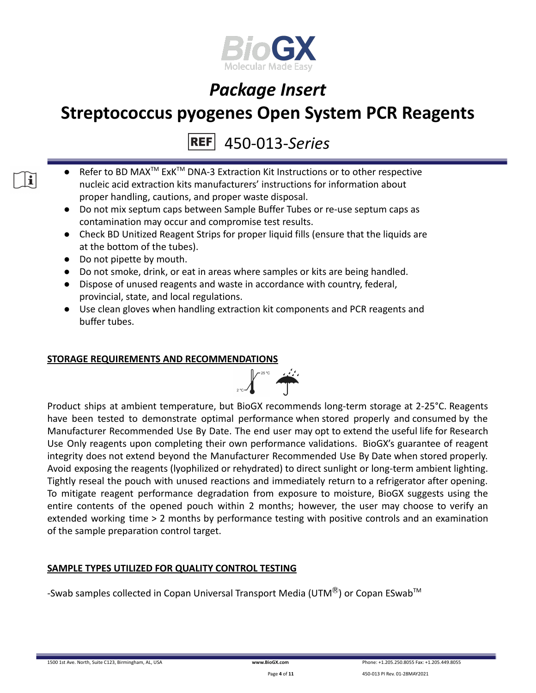

### **Streptococcus pyogenes Open System PCR Reagents**

450-013-*Series*

- Refer to BD MAX<sup>™</sup> ExK<sup>™</sup> DNA-3 Extraction Kit Instructions or to other respective nucleic acid extraction kits manufacturers' instructions for information about proper handling, cautions, and proper waste disposal.
- Do not mix septum caps between Sample Buffer Tubes or re-use septum caps as contamination may occur and compromise test results.
- Check BD Unitized Reagent Strips for proper liquid fills (ensure that the liquids are at the bottom of the tubes).
- Do not pipette by mouth.

 $\mathbf i$   $\mathbf i$ 

- Do not smoke, drink, or eat in areas where samples or kits are being handled.
- Dispose of unused reagents and waste in accordance with country, federal, provincial, state, and local regulations.
- Use clean gloves when handling extraction kit components and PCR reagents and buffer tubes.

### **STORAGE REQUIREMENTS AND RECOMMENDATIONS**



Product ships at ambient temperature, but BioGX recommends long-term storage at 2-25°C. Reagents have been tested to demonstrate optimal performance when stored properly and consumed by the Manufacturer Recommended Use By Date. The end user may opt to extend the useful life for Research Use Only reagents upon completing their own performance validations. BioGX's guarantee of reagent integrity does not extend beyond the Manufacturer Recommended Use By Date when stored properly. Avoid exposing the reagents (lyophilized or rehydrated) to direct sunlight or long-term ambient lighting. Tightly reseal the pouch with unused reactions and immediately return to a refrigerator after opening. To mitigate reagent performance degradation from exposure to moisture, BioGX suggests using the entire contents of the opened pouch within 2 months; however, the user may choose to verify an extended working time > 2 months by performance testing with positive controls and an examination of the sample preparation control target.

### **SAMPLE TYPES UTILIZED FOR QUALITY CONTROL TESTING**

-Swab samples collected in Copan Universal Transport Media (UTM $^{\circledR}$ ) or Copan ESwab<sup>TM</sup>

1500 1st Ave. North, Suite C123, Birmingham, AL, USA **[www.BioGX.com](http://www.biogx.com/eu)** Phone: +1.205.250.8055 Fax: +1.205.449.8055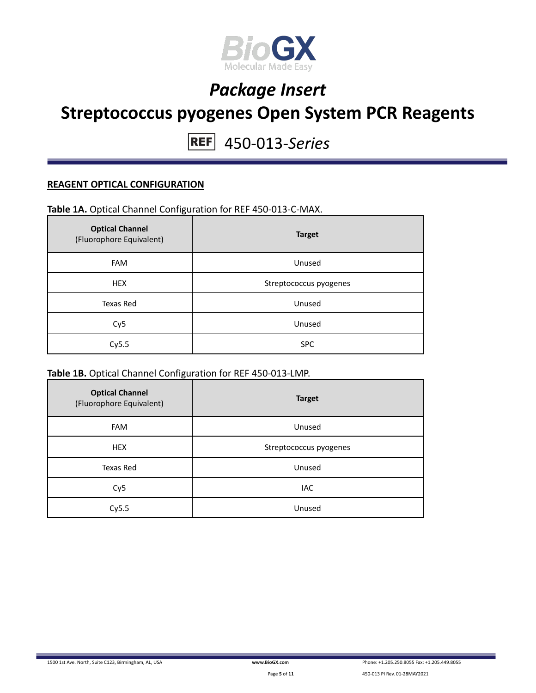

### **Streptococcus pyogenes Open System PCR Reagents**

450-013-*Series*

#### **REAGENT OPTICAL CONFIGURATION**

### **Table 1A.** Optical Channel Configuration for REF 450-013-C-MAX.

| <b>Optical Channel</b><br>(Fluorophore Equivalent) | <b>Target</b>          |
|----------------------------------------------------|------------------------|
| <b>FAM</b>                                         | Unused                 |
| <b>HEX</b>                                         | Streptococcus pyogenes |
| Texas Red                                          | Unused                 |
| Cy <sub>5</sub>                                    | Unused                 |
| Cy5.5                                              | <b>SPC</b>             |

### **Table 1B.** Optical Channel Configuration for REF 450-013-LMP.

| <b>Optical Channel</b><br>(Fluorophore Equivalent) | <b>Target</b>          |
|----------------------------------------------------|------------------------|
| <b>FAM</b>                                         | Unused                 |
| <b>HEX</b>                                         | Streptococcus pyogenes |
| <b>Texas Red</b>                                   | Unused                 |
| Cy <sub>5</sub>                                    | IAC                    |
| Cy5.5                                              | Unused                 |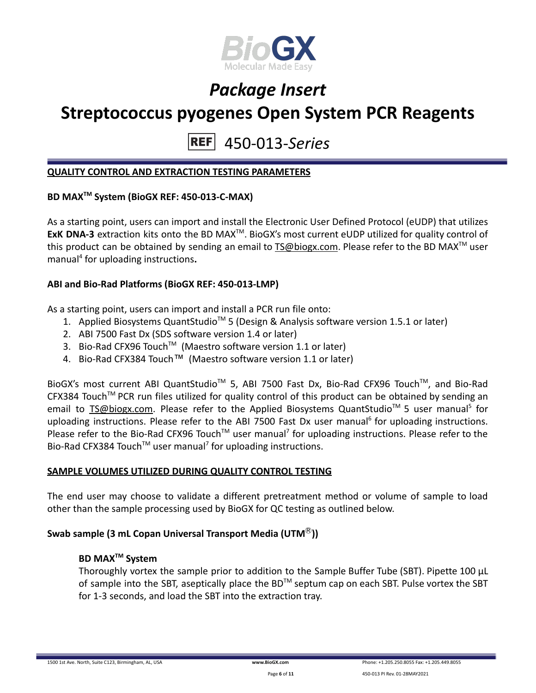

### **Streptococcus pyogenes Open System PCR Reagents**

450-013-*Series* **REF** 

#### **QUALITY CONTROL AND EXTRACTION TESTING PARAMETERS**

### **BD MAXTM System (BioGX REF: 450-013-C-MAX)**

As a starting point, users can import and install the Electronic User Defined Protocol (eUDP) that utilizes ExK DNA-3 extraction kits onto the BD MAX<sup>™</sup>. BioGX's most current eUDP utilized for quality control of this product can be obtained by sending an email to [TS@biogx.com](mailto:TS@biogx.com). Please refer to the BD MAX<sup>TM</sup> user manual<sup>4</sup> for uploading instructions**.**

#### **ABI and Bio-Rad Platforms (BioGX REF: 450-013-LMP)**

As a starting point, users can import and install a PCR run file onto:

- 1. Applied Biosystems QuantStudio<sup>™</sup> 5 (Design & Analysis software version 1.5.1 or later)
- 2. ABI 7500 Fast Dx (SDS software version 1.4 or later)
- 3. Bio-Rad CFX96 Touch<sup>™</sup> (Maestro software version 1.1 or later)
- 4. Bio-Rad CFX384 Touch™ (Maestro software version 1.1 or later)

BioGX's most current ABI QuantStudio<sup>™</sup> 5, ABI 7500 Fast Dx, Bio-Rad CFX96 Touch™, and Bio-Rad CFX384 Touch™ PCR run files utilized for quality control of this product can be obtained by sending an email to **[TS@biogx.com.](mailto:TS@biogx.com)** Please refer to the Applied Biosystems QuantStudio<sup>™</sup> 5 user manual<sup>5</sup> for uploading instructions. Please refer to the ABI 7500 Fast Dx user manual<sup>6</sup> for uploading instructions. Please refer to the Bio-Rad CFX96 Touch<sup>™</sup> user manual<sup>7</sup> for uploading instructions. Please refer to the Bio-Rad CFX384 Touch<sup>™</sup> user manual<sup>7</sup> for uploading instructions.

### **SAMPLE VOLUMES UTILIZED DURING QUALITY CONTROL TESTING**

The end user may choose to validate a different pretreatment method or volume of sample to load other than the sample processing used by BioGX for QC testing as outlined below.

### **Swab sample (3 mL Copan Universal Transport Media (UTM**Ⓡ**))**

### **BD MAXTM System**

Thoroughly vortex the sample prior to addition to the Sample Buffer Tube (SBT). Pipette 100 μL of sample into the SBT, aseptically place the BD<sup>TM</sup> septum cap on each SBT. Pulse vortex the SBT for 1-3 seconds, and load the SBT into the extraction tray.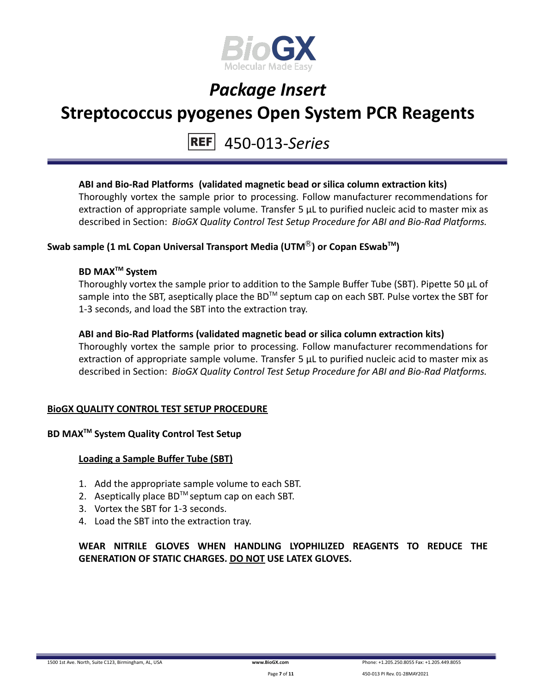

### **Streptococcus pyogenes Open System PCR Reagents**

### 450-013-*Series*

### **ABI and Bio-Rad Platforms (validated magnetic bead or silica column extraction kits)**

Thoroughly vortex the sample prior to processing. Follow manufacturer recommendations for extraction of appropriate sample volume. Transfer 5 μL to purified nucleic acid to master mix as described in Section: *BioGX Quality Control Test Setup Procedure for ABI and Bio-Rad Platforms.*

### **Swab sample (1 mL Copan Universal Transport Media (UTM**Ⓡ**) or Copan ESwabTM )**

### **BD MAXTM System**

Thoroughly vortex the sample prior to addition to the Sample Buffer Tube (SBT). Pipette 50 μL of sample into the SBT, aseptically place the BD<sup>™</sup> septum cap on each SBT. Pulse vortex the SBT for 1-3 seconds, and load the SBT into the extraction tray.

#### **ABI and Bio-Rad Platforms (validated magnetic bead or silica column extraction kits)**

Thoroughly vortex the sample prior to processing. Follow manufacturer recommendations for extraction of appropriate sample volume. Transfer 5 μL to purified nucleic acid to master mix as described in Section: *BioGX Quality Control Test Setup Procedure for ABI and Bio-Rad Platforms.*

### **BioGX QUALITY CONTROL TEST SETUP PROCEDURE**

### **BD MAXTM System Quality Control Test Setup**

#### **Loading a Sample Buffer Tube (SBT)**

- 1. Add the appropriate sample volume to each SBT.
- 2. Aseptically place  $BD^{TM}$  septum cap on each SBT.
- 3. Vortex the SBT for 1-3 seconds.
- 4. Load the SBT into the extraction tray.

**WEAR NITRILE GLOVES WHEN HANDLING LYOPHILIZED REAGENTS TO REDUCE THE GENERATION OF STATIC CHARGES. DO NOT USE LATEX GLOVES.**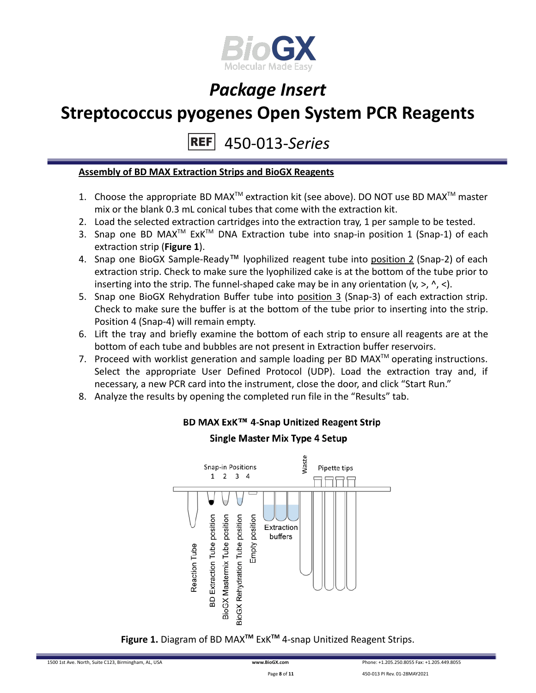

### **Streptococcus pyogenes Open System PCR Reagents**

450-013-*Series* **REF** 

#### **Assembly of BD MAX Extraction Strips and BioGX Reagents**

- 1. Choose the appropriate BD MAX<sup>TM</sup> extraction kit (see above). DO NOT use BD MAX<sup>TM</sup> master mix or the blank 0.3 mL conical tubes that come with the extraction kit.
- 2. Load the selected extraction cartridges into the extraction tray, 1 per sample to be tested.
- 3. Snap one BD MAX<sup>™</sup> ExK<sup>™</sup> DNA Extraction tube into snap-in position 1 (Snap-1) of each extraction strip (**Figure 1**).
- 4. Snap one BioGX Sample-Ready™ lyophilized reagent tube into position 2 (Snap-2) of each extraction strip. Check to make sure the lyophilized cake is at the bottom of the tube prior to inserting into the strip. The funnel-shaped cake may be in any orientation  $(v, >, \land, <)$ .
- 5. Snap one BioGX Rehydration Buffer tube into position 3 (Snap-3) of each extraction strip. Check to make sure the buffer is at the bottom of the tube prior to inserting into the strip. Position 4 (Snap-4) will remain empty.
- 6. Lift the tray and briefly examine the bottom of each strip to ensure all reagents are at the bottom of each tube and bubbles are not present in Extraction buffer reservoirs.
- 7. Proceed with worklist generation and sample loading per BD MAX $^{TM}$  operating instructions. Select the appropriate User Defined Protocol (UDP). Load the extraction tray and, if necessary, a new PCR card into the instrument, close the door, and click "Start Run."
- 8. Analyze the results by opening the completed run file in the "Results" tab.



### BD MAX ExK™ 4-Snap Unitized Reagent Strip

**Single Master Mix Type 4 Setup** 

**Figure 1.** Diagram of BD MAX**TM** ExK**TM** 4-snap Unitized Reagent Strips.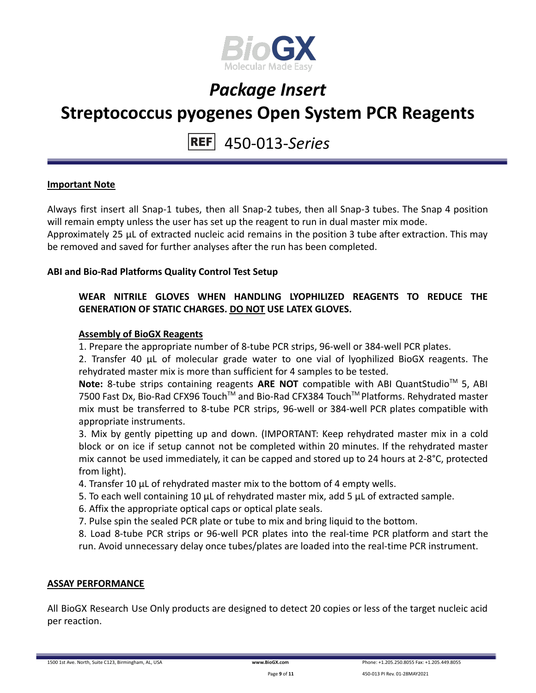

### **Streptococcus pyogenes Open System PCR Reagents**

450-013-*Series*

#### **Important Note**

Always first insert all Snap-1 tubes, then all Snap-2 tubes, then all Snap-3 tubes. The Snap 4 position will remain empty unless the user has set up the reagent to run in dual master mix mode. Approximately 25 µL of extracted nucleic acid remains in the position 3 tube after extraction. This may be removed and saved for further analyses after the run has been completed.

#### **ABI and Bio-Rad Platforms Quality Control Test Setup**

### **WEAR NITRILE GLOVES WHEN HANDLING LYOPHILIZED REAGENTS TO REDUCE THE GENERATION OF STATIC CHARGES. DO NOT USE LATEX GLOVES.**

#### **Assembly of BioGX Reagents**

1. Prepare the appropriate number of 8-tube PCR strips, 96-well or 384-well PCR plates.

2. Transfer 40 μL of molecular grade water to one vial of lyophilized BioGX reagents. The rehydrated master mix is more than sufficient for 4 samples to be tested.

Note: 8-tube strips containing reagents ARE NOT compatible with ABI QuantStudio<sup>™</sup> 5, ABI 7500 Fast Dx, Bio-Rad CFX96 Touch™ and Bio-Rad CFX384 Touch™ Platforms. Rehydrated master mix must be transferred to 8-tube PCR strips, 96-well or 384-well PCR plates compatible with appropriate instruments.

3. Mix by gently pipetting up and down. (IMPORTANT: Keep rehydrated master mix in a cold block or on ice if setup cannot not be completed within 20 minutes. If the rehydrated master mix cannot be used immediately, it can be capped and stored up to 24 hours at 2-8°C, protected from light).

4. Transfer 10 μL of rehydrated master mix to the bottom of 4 empty wells.

- 5. To each well containing 10 μL of rehydrated master mix, add 5 μL of extracted sample.
- 6. Affix the appropriate optical caps or optical plate seals.

7. Pulse spin the sealed PCR plate or tube to mix and bring liquid to the bottom.

8. Load 8-tube PCR strips or 96-well PCR plates into the real-time PCR platform and start the run. Avoid unnecessary delay once tubes/plates are loaded into the real-time PCR instrument.

#### **ASSAY PERFORMANCE**

All BioGX Research Use Only products are designed to detect 20 copies or less of the target nucleic acid per reaction.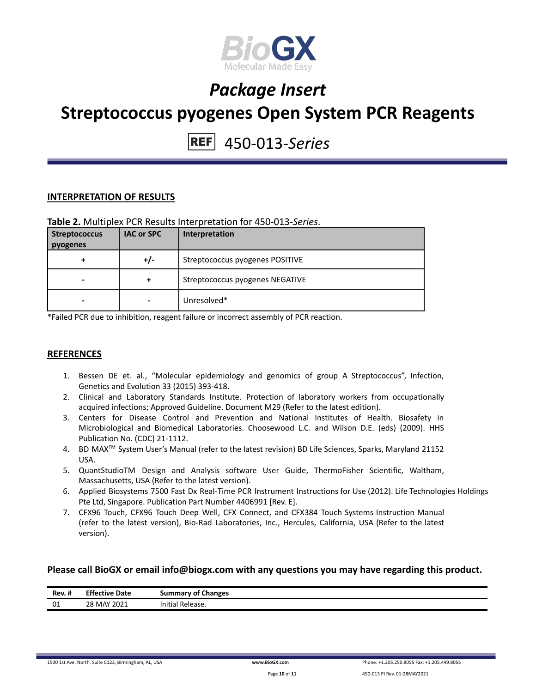

### *Package Insert* **Streptococcus pyogenes Open System PCR Reagents**

### 450-013-*Series*

#### **INTERPRETATION OF RESULTS**

#### **Table 2.** Multiplex PCR Results Interpretation for 450-013-*Series*.

| <b>Streptococcus</b><br>pyogenes | <b>IAC or SPC</b> | Interpretation                  |
|----------------------------------|-------------------|---------------------------------|
| +                                | +/-               | Streptococcus pyogenes POSITIVE |
| -                                | +                 | Streptococcus pyogenes NEGATIVE |
| -                                |                   | Unresolved*                     |

\*Failed PCR due to inhibition, reagent failure or incorrect assembly of PCR reaction.

#### **REFERENCES**

- 1. Bessen DE et. al., "Molecular epidemiology and genomics of group A Streptococcus", Infection, Genetics and Evolution 33 (2015) 393-418.
- 2. Clinical and Laboratory Standards Institute. Protection of laboratory workers from occupationally acquired infections; Approved Guideline. Document M29 (Refer to the latest edition).
- 3. Centers for Disease Control and Prevention and National Institutes of Health. Biosafety in Microbiological and Biomedical Laboratories. Choosewood L.C. and Wilson D.E. (eds) (2009). HHS Publication No. (CDC) 21-1112.
- 4. BD MAX TM System User's Manual (refer to the latest revision) BD Life Sciences, Sparks, Maryland 21152 USA.
- 5. QuantStudioTM Design and Analysis software User Guide, ThermoFisher Scientific, Waltham, Massachusetts, USA (Refer to the latest version).
- 6. Applied Biosystems 7500 Fast Dx Real-Time PCR Instrument Instructions for Use (2012). Life Technologies Holdings Pte Ltd, Singapore. Publication Part Number 4406991 [Rev. E].
- 7. CFX96 Touch, CFX96 Touch Deep Well, CFX Connect, and CFX384 Touch Systems Instruction Manual (refer to the latest version), Bio-Rad Laboratories, Inc., Hercules, California, USA (Refer to the latest version).

#### **Please call BioGX or email info@biogx.com with any questions you may have regarding this product.**

| <br>Rev. # | <b>Effective Date</b> | <b>Summary of Changes</b> |
|------------|-----------------------|---------------------------|
| 01         | 28 MAY 2021           | Initial Release.          |